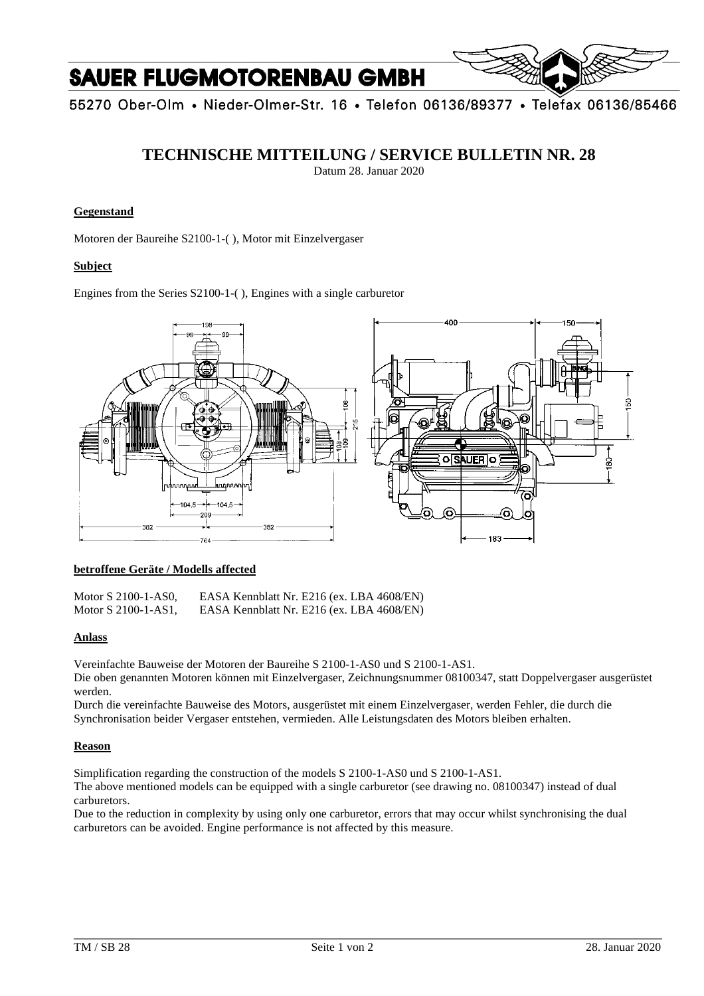# **SAUER FLUGMOTORENBAU GMBH**

55270 Ober-Olm • Nieder-Olmer-Str. 16 • Telefon 06136/89377 • Telefax 06136/85466

### **TECHNISCHE MITTEILUNG / SERVICE BULLETIN NR. 28**

Datum 28. Januar 2020

#### **Gegenstand**

Motoren der Baureihe S2100-1-( ), Motor mit Einzelvergaser

#### **Subject**

Engines from the Series S2100-1-( ), Engines with a single carburetor



#### **betroffene Geräte / Modells affected**

| Motor $S$ 2100-1-AS0, | EASA Kennblatt Nr. E216 (ex. LBA 4608/EN) |
|-----------------------|-------------------------------------------|
| Motor S 2100-1-AS1,   | EASA Kennblatt Nr. E216 (ex. LBA 4608/EN) |

#### **Anlass**

Vereinfachte Bauweise der Motoren der Baureihe S 2100-1-AS0 und S 2100-1-AS1.

Die oben genannten Motoren können mit Einzelvergaser, Zeichnungsnummer 08100347, statt Doppelvergaser ausgerüstet werden.

Durch die vereinfachte Bauweise des Motors, ausgerüstet mit einem Einzelvergaser, werden Fehler, die durch die Synchronisation beider Vergaser entstehen, vermieden. Alle Leistungsdaten des Motors bleiben erhalten.

#### **Reason**

Simplification regarding the construction of the models S 2100-1-AS0 und S 2100-1-AS1.

The above mentioned models can be equipped with a single carburetor (see drawing no. 08100347) instead of dual carburetors.

Due to the reduction in complexity by using only one carburetor, errors that may occur whilst synchronising the dual carburetors can be avoided. Engine performance is not affected by this measure.